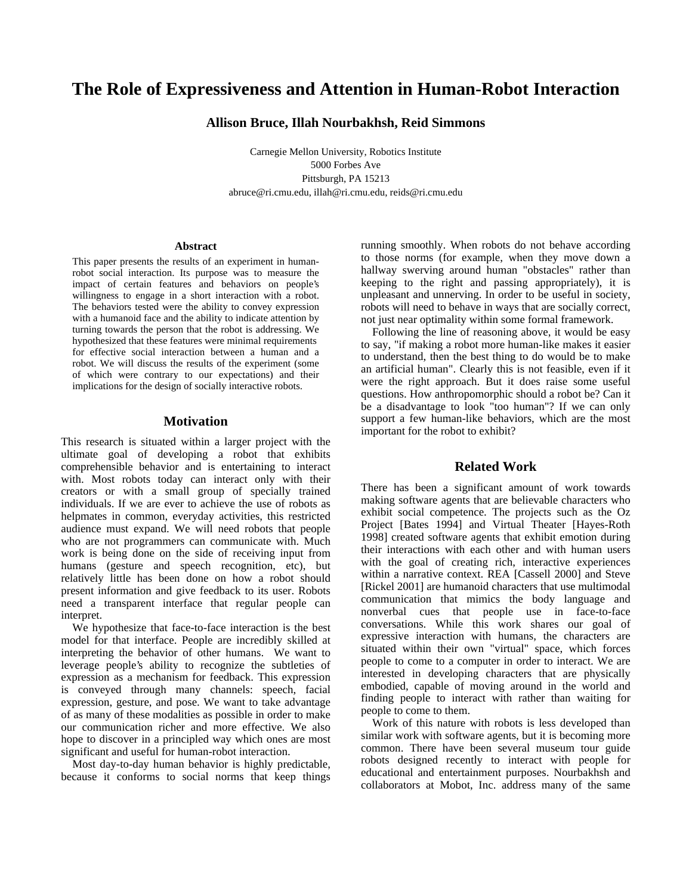# **The Role of Expressiveness and Attention in Human-Robot Interaction**

**Allison Bruce, Illah Nourbakhsh, Reid Simmons**

Carnegie Mellon University, Robotics Institute 5000 Forbes Ave Pittsburgh, PA 15213 abruce@ri.cmu.edu, illah@ri.cmu.edu, reids@ri.cmu.edu

## **Abstract**

This paper presents the results of an experiment in humanrobot social interaction. Its purpose was to measure the impact of certain features and behaviors on people's willingness to engage in a short interaction with a robot. The behaviors tested were the ability to convey expression with a humanoid face and the ability to indicate attention by turning towards the person that the robot is addressing. We hypothesized that these features were minimal requirements for effective social interaction between a human and a robot. We will discuss the results of the experiment (some of which were contrary to our expectations) and their implications for the design of socially interactive robots.

# **Motivation**

This research is situated within a larger project with the ultimate goal of developing a robot that exhibits comprehensible behavior and is entertaining to interact with. Most robots today can interact only with their creators or with a small group of specially trained individuals. If we are ever to achieve the use of robots as helpmates in common, everyday activities, this restricted audience must expand. We will need robots that people who are not programmers can communicate with. Much work is being done on the side of receiving input from humans (gesture and speech recognition, etc), but relatively little has been done on how a robot should present information and give feedback to its user. Robots need a transparent interface that regular people can interpret.

We hypothesize that face-to-face interaction is the best model for that interface. People are incredibly skilled at interpreting the behavior of other humans. We want to leverage people's ability to recognize the subtleties of expression as a mechanism for feedback. This expression is conveyed through many channels: speech, facial expression, gesture, and pose. We want to take advantage of as many of these modalities as possible in order to make our communication richer and more effective. We also hope to discover in a principled way which ones are most significant and useful for human-robot interaction.

Most day-to-day human behavior is highly predictable, because it conforms to social norms that keep things running smoothly. When robots do not behave according to those norms (for example, when they move down a hallway swerving around human "obstacles" rather than keeping to the right and passing appropriately), it is unpleasant and unnerving. In order to be useful in society, robots will need to behave in ways that are socially correct, not just near optimality within some formal framework.

Following the line of reasoning above, it would be easy to say, "if making a robot more human-like makes it easier to understand, then the best thing to do would be to make an artificial human". Clearly this is not feasible, even if it were the right approach. But it does raise some useful questions. How anthropomorphic should a robot be? Can it be a disadvantage to look "too human"? If we can only support a few human-like behaviors, which are the most important for the robot to exhibit?

# **Related Work**

There has been a significant amount of work towards making software agents that are believable characters who exhibit social competence. The projects such as the Oz Project [Bates 1994] and Virtual Theater [Hayes-Roth 1998] created software agents that exhibit emotion during their interactions with each other and with human users with the goal of creating rich, interactive experiences within a narrative context. REA [Cassell 2000] and Steve [Rickel 2001] are humanoid characters that use multimodal communication that mimics the body language and nonverbal cues that people use in face-to-face conversations. While this work shares our goal of expressive interaction with humans, the characters are situated within their own "virtual" space, which forces people to come to a computer in order to interact. We are interested in developing characters that are physically embodied, capable of moving around in the world and finding people to interact with rather than waiting for people to come to them.

Work of this nature with robots is less developed than similar work with software agents, but it is becoming more common. There have been several museum tour guide robots designed recently to interact with people for educational and entertainment purposes. Nourbakhsh and collaborators at Mobot, Inc. address many of the same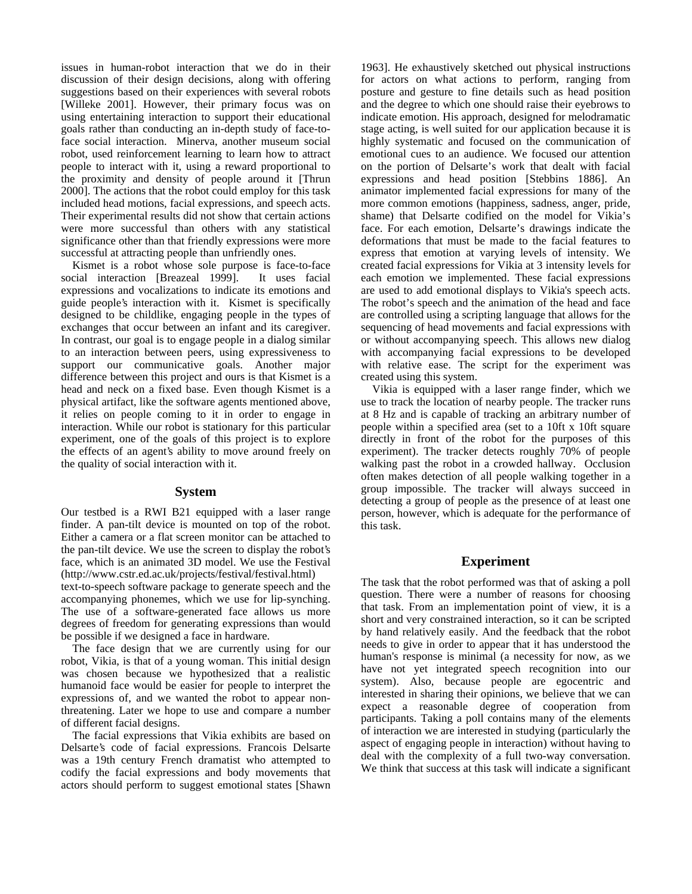issues in human-robot interaction that we do in their discussion of their design decisions, along with offering suggestions based on their experiences with several robots [Willeke 2001]. However, their primary focus was on using entertaining interaction to support their educational goals rather than conducting an in-depth study of face-toface social interaction. Minerva, another museum social robot, used reinforcement learning to learn how to attract people to interact with it, using a reward proportional to the proximity and density of people around it [Thrun 2000]. The actions that the robot could employ for this task included head motions, facial expressions, and speech acts. Their experimental results did not show that certain actions were more successful than others with any statistical significance other than that friendly expressions were more successful at attracting people than unfriendly ones.

Kismet is a robot whose sole purpose is face-to-face social interaction [Breazeal 1999]. It uses facial expressions and vocalizations to indicate its emotions and guide people's interaction with it. Kismet is specifically designed to be childlike, engaging people in the types of exchanges that occur between an infant and its caregiver. In contrast, our goal is to engage people in a dialog similar to an interaction between peers, using expressiveness to support our communicative goals. Another major difference between this project and ours is that Kismet is a head and neck on a fixed base. Even though Kismet is a physical artifact, like the software agents mentioned above, it relies on people coming to it in order to engage in interaction. While our robot is stationary for this particular experiment, one of the goals of this project is to explore the effects of an agent's ability to move around freely on the quality of social interaction with it.

## **System**

Our testbed is a RWI B21 equipped with a laser range finder. A pan-tilt device is mounted on top of the robot. Either a camera or a flat screen monitor can be attached to the pan-tilt device. We use the screen to display the robot's face, which is an animated 3D model. We use the Festival (http://www.cstr.ed.ac.uk/projects/festival/festival.html)

text-to-speech software package to generate speech and the accompanying phonemes, which we use for lip-synching. The use of a software-generated face allows us more degrees of freedom for generating expressions than would be possible if we designed a face in hardware.

The face design that we are currently using for our robot, Vikia, is that of a young woman. This initial design was chosen because we hypothesized that a realistic humanoid face would be easier for people to interpret the expressions of, and we wanted the robot to appear nonthreatening. Later we hope to use and compare a number of different facial designs.

The facial expressions that Vikia exhibits are based on Delsarte's code of facial expressions. Francois Delsarte was a 19th century French dramatist who attempted to codify the facial expressions and body movements that actors should perform to suggest emotional states [Shawn

1963]. He exhaustively sketched out physical instructions for actors on what actions to perform, ranging from posture and gesture to fine details such as head position and the degree to which one should raise their eyebrows to indicate emotion. His approach, designed for melodramatic stage acting, is well suited for our application because it is highly systematic and focused on the communication of emotional cues to an audience. We focused our attention on the portion of Delsarte's work that dealt with facial expressions and head position [Stebbins 1886]. An animator implemented facial expressions for many of the more common emotions (happiness, sadness, anger, pride, shame) that Delsarte codified on the model for Vikia's face. For each emotion, Delsarte's drawings indicate the deformations that must be made to the facial features to express that emotion at varying levels of intensity. We created facial expressions for Vikia at 3 intensity levels for each emotion we implemented. These facial expressions are used to add emotional displays to Vikia's speech acts. The robot's speech and the animation of the head and face are controlled using a scripting language that allows for the sequencing of head movements and facial expressions with or without accompanying speech. This allows new dialog with accompanying facial expressions to be developed with relative ease. The script for the experiment was created using this system.

Vikia is equipped with a laser range finder, which we use to track the location of nearby people. The tracker runs at 8 Hz and is capable of tracking an arbitrary number of people within a specified area (set to a 10ft x 10ft square directly in front of the robot for the purposes of this experiment). The tracker detects roughly 70% of people walking past the robot in a crowded hallway. Occlusion often makes detection of all people walking together in a group impossible. The tracker will always succeed in detecting a group of people as the presence of at least one person, however, which is adequate for the performance of this task.

# **Experiment**

The task that the robot performed was that of asking a poll question. There were a number of reasons for choosing that task. From an implementation point of view, it is a short and very constrained interaction, so it can be scripted by hand relatively easily. And the feedback that the robot needs to give in order to appear that it has understood the human's response is minimal (a necessity for now, as we have not yet integrated speech recognition into our system). Also, because people are egocentric and interested in sharing their opinions, we believe that we can expect a reasonable degree of cooperation from participants. Taking a poll contains many of the elements of interaction we are interested in studying (particularly the aspect of engaging people in interaction) without having to deal with the complexity of a full two-way conversation. We think that success at this task will indicate a significant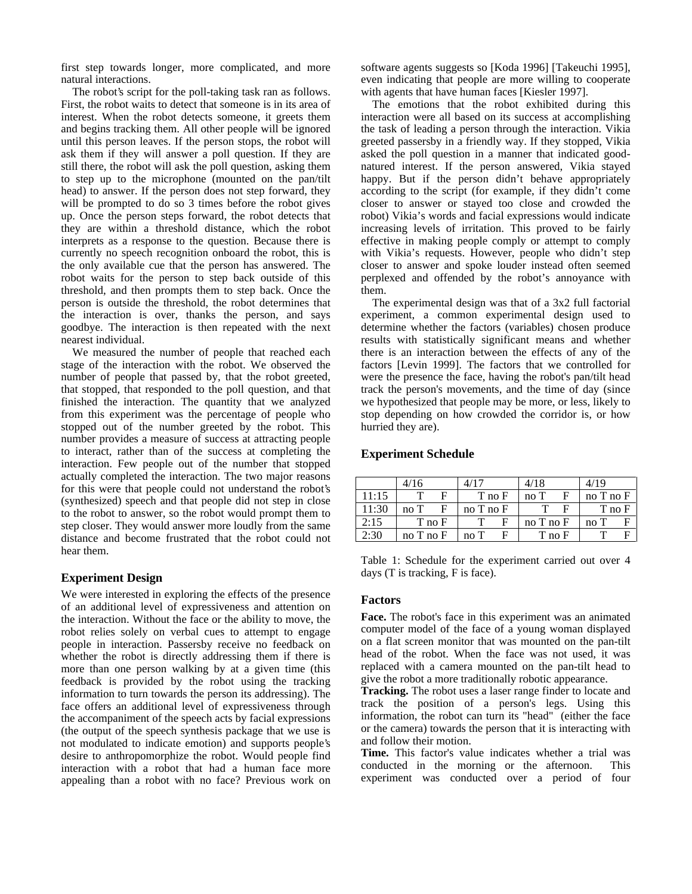first step towards longer, more complicated, and more natural interactions.

The robot's script for the poll-taking task ran as follows. First, the robot waits to detect that someone is in its area of interest. When the robot detects someone, it greets them and begins tracking them. All other people will be ignored until this person leaves. If the person stops, the robot will ask them if they will answer a poll question. If they are still there, the robot will ask the poll question, asking them to step up to the microphone (mounted on the pan/tilt head) to answer. If the person does not step forward, they will be prompted to do so 3 times before the robot gives up. Once the person steps forward, the robot detects that they are within a threshold distance, which the robot interprets as a response to the question. Because there is currently no speech recognition onboard the robot, this is the only available cue that the person has answered. The robot waits for the person to step back outside of this threshold, and then prompts them to step back. Once the person is outside the threshold, the robot determines that the interaction is over, thanks the person, and says goodbye. The interaction is then repeated with the next nearest individual.

We measured the number of people that reached each stage of the interaction with the robot. We observed the number of people that passed by, that the robot greeted, that stopped, that responded to the poll question, and that finished the interaction. The quantity that we analyzed from this experiment was the percentage of people who stopped out of the number greeted by the robot. This number provides a measure of success at attracting people to interact, rather than of the success at completing the interaction. Few people out of the number that stopped actually completed the interaction. The two major reasons for this were that people could not understand the robot's (synthesized) speech and that people did not step in close to the robot to answer, so the robot would prompt them to step closer. They would answer more loudly from the same distance and become frustrated that the robot could not hear them.

# **Experiment Design**

We were interested in exploring the effects of the presence of an additional level of expressiveness and attention on the interaction. Without the face or the ability to move, the robot relies solely on verbal cues to attempt to engage people in interaction. Passersby receive no feedback on whether the robot is directly addressing them if there is more than one person walking by at a given time (this feedback is provided by the robot using the tracking information to turn towards the person its addressing). The face offers an additional level of expressiveness through the accompaniment of the speech acts by facial expressions (the output of the speech synthesis package that we use is not modulated to indicate emotion) and supports people's desire to anthropomorphize the robot. Would people find interaction with a robot that had a human face more appealing than a robot with no face? Previous work on

software agents suggests so [Koda 1996] [Takeuchi 1995], even indicating that people are more willing to cooperate with agents that have human faces [Kiesler 1997].

The emotions that the robot exhibited during this interaction were all based on its success at accomplishing the task of leading a person through the interaction. Vikia greeted passersby in a friendly way. If they stopped, Vikia asked the poll question in a manner that indicated goodnatured interest. If the person answered, Vikia stayed happy. But if the person didn't behave appropriately according to the script (for example, if they didn't come closer to answer or stayed too close and crowded the robot) Vikia's words and facial expressions would indicate increasing levels of irritation. This proved to be fairly effective in making people comply or attempt to comply with Vikia's requests. However, people who didn't step closer to answer and spoke louder instead often seemed perplexed and offended by the robot's annoyance with them.

The experimental design was that of a 3x2 full factorial experiment, a common experimental design used to determine whether the factors (variables) chosen produce results with statistically significant means and whether there is an interaction between the effects of any of the factors [Levin 1999]. The factors that we controlled for were the presence the face, having the robot's pan/tilt head track the person's movements, and the time of day (since we hypothesized that people may be more, or less, likely to stop depending on how crowded the corridor is, or how hurried they are).

## **Experiment Schedule**

|       | 4/16            | 4/17          | 4/18          | 4/19       |
|-------|-----------------|---------------|---------------|------------|
| 11:15 | F               | T no F        | F<br>noT      | no T no F  |
| 11:30 | F<br>noT        | $no$ T $no$ F | F             | $T$ no $F$ |
| 2:15  | $T_{\rm 100}$ F | F             | $no$ T $no$ F | F<br>noT   |
| 2:30  | $no$ T $no$ F   | F<br>noT      | T no F        | F          |

Table 1: Schedule for the experiment carried out over 4 days (T is tracking, F is face).

#### **Factors**

**Face.** The robot's face in this experiment was an animated computer model of the face of a young woman displayed on a flat screen monitor that was mounted on the pan-tilt head of the robot. When the face was not used, it was replaced with a camera mounted on the pan-tilt head to give the robot a more traditionally robotic appearance.

**Tracking.** The robot uses a laser range finder to locate and track the position of a person's legs. Using this information, the robot can turn its "head" (either the face or the camera) towards the person that it is interacting with and follow their motion.

**Time.** This factor's value indicates whether a trial was conducted in the morning or the afternoon. This experiment was conducted over a period of four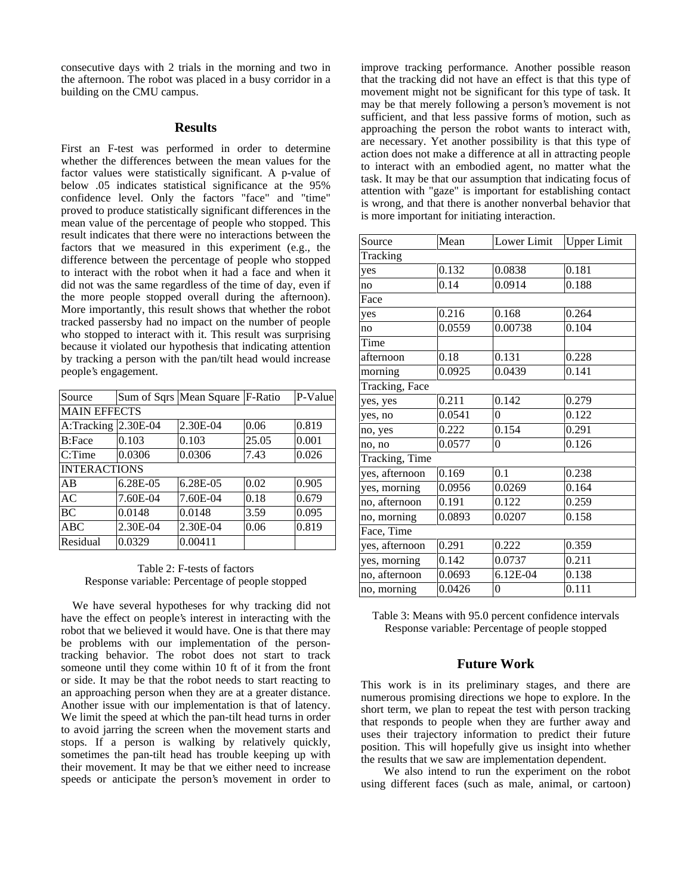consecutive days with 2 trials in the morning and two in the afternoon. The robot was placed in a busy corridor in a building on the CMU campus.

# **Results**

First an F-test was performed in order to determine whether the differences between the mean values for the factor values were statistically significant. A p-value of below .05 indicates statistical significance at the 95% confidence level. Only the factors "face" and "time" proved to produce statistically significant differences in the mean value of the percentage of people who stopped. This result indicates that there were no interactions between the factors that we measured in this experiment (e.g., the difference between the percentage of people who stopped to interact with the robot when it had a face and when it did not was the same regardless of the time of day, even if the more people stopped overall during the afternoon). More importantly, this result shows that whether the robot tracked passersby had no impact on the number of people who stopped to interact with it. This result was surprising because it violated our hypothesis that indicating attention by tracking a person with the pan/tilt head would increase people's engagement.

| Source              |          | Sum of Sqrs   Mean Square   F-Ratio |       | P-Value |  |  |  |  |
|---------------------|----------|-------------------------------------|-------|---------|--|--|--|--|
| <b>MAIN EFFECTS</b> |          |                                     |       |         |  |  |  |  |
| A:Tracking          | 2.30E-04 | 2.30E-04                            | 0.06  | 0.819   |  |  |  |  |
| <b>B:Face</b>       | 0.103    | 0.103                               | 25.05 | 0.001   |  |  |  |  |
| C:Time              | 0.0306   | 0.0306                              | 7.43  | 0.026   |  |  |  |  |
| <b>INTERACTIONS</b> |          |                                     |       |         |  |  |  |  |
| AB                  | 6.28E-05 | 6.28E-05                            | 0.02  | 0.905   |  |  |  |  |
| <b>AC</b>           | 7.60E-04 | 7.60E-04                            | 0.18  | 0.679   |  |  |  |  |
| <b>BC</b>           | 0.0148   | 0.0148                              | 3.59  | 0.095   |  |  |  |  |
| ABC                 | 2.30E-04 | 2.30E-04                            | 0.06  | 0.819   |  |  |  |  |
| Residual            | 0.0329   | 0.00411                             |       |         |  |  |  |  |

## Table 2: F-tests of factors Response variable: Percentage of people stopped

We have several hypotheses for why tracking did not have the effect on people's interest in interacting with the robot that we believed it would have. One is that there may be problems with our implementation of the persontracking behavior. The robot does not start to track someone until they come within 10 ft of it from the front or side. It may be that the robot needs to start reacting to an approaching person when they are at a greater distance. Another issue with our implementation is that of latency. We limit the speed at which the pan-tilt head turns in order to avoid jarring the screen when the movement starts and stops. If a person is walking by relatively quickly, sometimes the pan-tilt head has trouble keeping up with their movement. It may be that we either need to increase speeds or anticipate the person's movement in order to improve tracking performance. Another possible reason that the tracking did not have an effect is that this type of movement might not be significant for this type of task. It may be that merely following a person's movement is not sufficient, and that less passive forms of motion, such as approaching the person the robot wants to interact with, are necessary. Yet another possibility is that this type of action does not make a difference at all in attracting people to interact with an embodied agent, no matter what the task. It may be that our assumption that indicating focus of attention with "gaze" is important for establishing contact is wrong, and that there is another nonverbal behavior that is more important for initiating interaction.

| Source         | Mean   | Lower Limit      | <b>Upper Limit</b> |  |  |  |  |
|----------------|--------|------------------|--------------------|--|--|--|--|
| Tracking       |        |                  |                    |  |  |  |  |
| yes            | 0.132  | 0.0838           | 0.181              |  |  |  |  |
| no             | 0.14   | 0.0914           | 0.188              |  |  |  |  |
| Face           |        |                  |                    |  |  |  |  |
| yes            | 0.216  | 0.168            | 0.264              |  |  |  |  |
| no             | 0.0559 | 0.00738          | 0.104              |  |  |  |  |
| Time           |        |                  |                    |  |  |  |  |
| afternoon      | 0.18   | 0.131            | 0.228              |  |  |  |  |
| morning        | 0.0925 | 0.0439           | 0.141              |  |  |  |  |
| Tracking, Face |        |                  |                    |  |  |  |  |
| yes, yes       | 0.211  | 0.142            | 0.279              |  |  |  |  |
| yes, no        | 0.0541 | $\theta$         | 0.122              |  |  |  |  |
| no, yes        | 0.222  | 0.154            | 0.291              |  |  |  |  |
| no, no         | 0.0577 | $\theta$         | 0.126              |  |  |  |  |
| Tracking, Time |        |                  |                    |  |  |  |  |
| yes, afternoon | 0.169  | 0.1              | 0.238              |  |  |  |  |
| yes, morning   | 0.0956 | 0.0269           | 0.164              |  |  |  |  |
| no, afternoon  | 0.191  | 0.122            | 0.259              |  |  |  |  |
| no, morning    | 0.0893 | 0.0207           | 0.158              |  |  |  |  |
| Face, Time     |        |                  |                    |  |  |  |  |
| yes, afternoon | 0.291  | 0.222            | 0.359              |  |  |  |  |
| yes, morning   | 0.142  | 0.0737           | 0.211              |  |  |  |  |
| no, afternoon  | 0.0693 | 6.12E-04         | 0.138              |  |  |  |  |
| no, morning    | 0.0426 | $\boldsymbol{0}$ | 0.111              |  |  |  |  |

Table 3: Means with 95.0 percent confidence intervals Response variable: Percentage of people stopped

# **Future Work**

This work is in its preliminary stages, and there are numerous promising directions we hope to explore. In the short term, we plan to repeat the test with person tracking that responds to people when they are further away and uses their trajectory information to predict their future position. This will hopefully give us insight into whether the results that we saw are implementation dependent.

We also intend to run the experiment on the robot using different faces (such as male, animal, or cartoon)